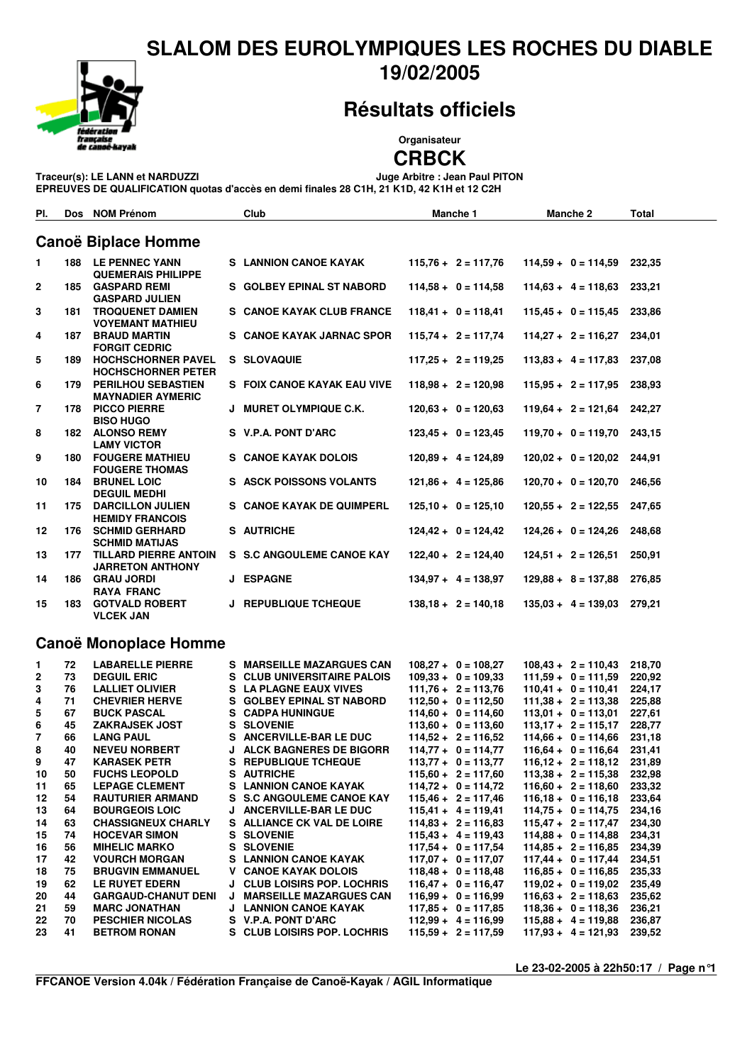#### SLALOM DES EUROLYMPIQUES LES ROCHES DU DIABLE 19/02/2005



Pl. Dos NOM Prénom

**Résultats officiels** 

### Organisateur

**CRBCK** 

Manche 1

**Manche 2** 

Total

Juge Arbitre : Jean Paul PITON Traceur(s): LE LANN et NARDUZZI

EPREUVES DE QUALIFICATION quotas d'accès en demi finales 28 C1H, 21 K1D, 42 K1H et 12 C2H

Club

|                       |     | <b>Canoë Biplace Homme</b>                             |   |                                    |  |                                                |                              |  |                  |  |  |
|-----------------------|-----|--------------------------------------------------------|---|------------------------------------|--|------------------------------------------------|------------------------------|--|------------------|--|--|
| 1.                    |     | <b>188 LE PENNEC YANN</b><br><b>QUEMERAIS PHILIPPE</b> |   | <b>S</b> LANNION CANOE KAYAK       |  | $115,76 + 2 = 117,76$                          | $114,59 + 0 = 114,59$        |  | 232,35           |  |  |
| 2                     | 185 | <b>GASPARD REMI</b><br><b>GASPARD JULIEN</b>           |   | S GOLBEY EPINAL ST NABORD          |  | $114,58 + 0 = 114,58$                          | $114,63 + 4 = 118,63$        |  | 233,21           |  |  |
| 3                     | 181 | <b>TROQUENET DAMIEN</b><br><b>VOYEMANT MATHIEU</b>     |   | S CANOE KAYAK CLUB FRANCE          |  | $118,41 + 0 = 118,41$                          | $115,45 + 0 = 115,45$        |  | 233,86           |  |  |
| 4                     | 187 | <b>BRAUD MARTIN</b><br><b>FORGIT CEDRIC</b>            |   | S CANOE KAYAK JARNAC SPOR          |  | $115,74 + 2 = 117,74$                          | $114,27 + 2 = 116,27$        |  | 234,01           |  |  |
| 5                     | 189 | <b>HOCHSCHORNER PAVEL</b><br><b>HOCHSCHORNER PETER</b> |   | S SLOVAQUIE                        |  | $117,25 + 2 = 119,25$                          | $113,83 + 4 = 117,83$        |  | 237,08           |  |  |
| 6                     | 179 | <b>PERILHOU SEBASTIEN</b><br><b>MAYNADIER AYMERIC</b>  |   | S FOIX CANOE KAYAK EAU VIVE        |  | $118,98 + 2 = 120,98$                          | $115,95 + 2 = 117,95$        |  | 238,93           |  |  |
| 7                     | 178 | <b>PICCO PIERRE</b><br><b>BISO HUGO</b>                |   | J MURET OLYMPIQUE C.K.             |  | $120,63 + 0 = 120,63$                          | $119,64 + 2 = 121,64$ 242,27 |  |                  |  |  |
| 8                     | 182 | <b>ALONSO REMY</b><br><b>LAMY VICTOR</b>               |   | S V.P.A. PONT D'ARC                |  | $123,45 + 0 = 123,45$                          | $119,70 + 0 = 119,70$ 243,15 |  |                  |  |  |
| 9                     | 180 | <b>FOUGERE MATHIEU</b><br><b>FOUGERE THOMAS</b>        |   | S CANOE KAYAK DOLOIS               |  | $120,89 + 4 = 124,89$                          | $120,02 + 0 = 120,02$        |  | 244,91           |  |  |
| 10                    | 184 | <b>BRUNEL LOIC</b><br><b>DEGUIL MEDHI</b>              |   | <b>S ASCK POISSONS VOLANTS</b>     |  | $121,86 + 4 = 125,86$                          | $120,70 + 0 = 120,70$ 246,56 |  |                  |  |  |
| 11                    | 175 | <b>DARCILLON JULIEN</b><br><b>HEMIDY FRANCOIS</b>      |   | S CANOE KAYAK DE QUIMPERL          |  | $125.10 + 0 = 125.10$                          | $120,55 + 2 = 122,55$        |  | 247.65           |  |  |
| 12                    | 176 | <b>SCHMID GERHARD</b><br><b>SCHMID MATIJAS</b>         |   | S AUTRICHE                         |  | $124,42 + 0 = 124,42$                          | $124,26 + 0 = 124,26$        |  | 248,68           |  |  |
| 13                    | 177 | TILLARD PIERRE ANTOIN<br><b>JARRETON ANTHONY</b>       |   | S S.C ANGOULEME CANOE KAY          |  | $122,40 + 2 = 124,40$                          | $124,51 + 2 = 126,51$        |  | 250,91           |  |  |
| 14                    |     | 186 GRAU JORDI<br>RAYA FRANC                           |   | <b>J ESPAGNE</b>                   |  | $134,97 + 4 = 138,97$                          | $129,88 + 8 = 137,88$        |  | 276,85           |  |  |
| 15                    | 183 | <b>GOTVALD ROBERT</b><br><b>VLCEK JAN</b>              |   | J REPUBLIQUE TCHEQUE               |  | $138,18 + 2 = 140,18$                          | $135,03 + 4 = 139,03$        |  | 279,21           |  |  |
| Canoë Monoplace Homme |     |                                                        |   |                                    |  |                                                |                              |  |                  |  |  |
|                       | 72  | <b>LABARELLE PIERRE</b>                                |   | S MARSEILLE MAZARGUES CAN          |  |                                                | $108,43 + 2 = 110,43$        |  |                  |  |  |
| 1<br>2                | 73  | <b>DEGUIL ERIC</b>                                     |   | S CLUB UNIVERSITAIRE PALOIS        |  | $108,27 + 0 = 108,27$<br>$109,33 + 0 = 109,33$ | $111,59 + 0 = 111,59$        |  | 218,70<br>220,92 |  |  |
| 3                     | 76  | <b>LALLIET OLIVIER</b>                                 |   | S LA PLAGNE EAUX VIVES             |  | $111,76 + 2 = 113,76$                          | $110,41 + 0 = 110,41$        |  | 224,17           |  |  |
| 4                     | 71  | <b>CHEVRIER HERVE</b>                                  |   | S GOLBEY EPINAL ST NABORD          |  | $112,50 + 0 = 112,50$                          | $111,38 + 2 = 113,38$        |  | 225,88           |  |  |
| 5                     | 67  | <b>BUCK PASCAL</b>                                     |   | <b>S</b> CADPA HUNINGUE            |  | $114,60 + 0 = 114,60$                          | $113,01 + 0 = 113,01$        |  | 227,61           |  |  |
| 6                     | 45  | <b>ZAKRAJSEK JOST</b>                                  |   | <b>S SLOVENIE</b>                  |  | $113,60 + 0 = 113,60$                          | $113,17 + 2 = 115,17$ 228,77 |  |                  |  |  |
| 7                     | 66  | <b>LANG PAUL</b>                                       |   | S ANCERVILLE-BAR LE DUC            |  | $114,52 + 2 = 116,52$                          | $114,66 + 0 = 114,66$        |  | 231,18           |  |  |
| 8                     | 40  | <b>NEVEU NORBERT</b>                                   |   | <b>J ALCK BAGNERES DE BIGORR</b>   |  | $114.77 + 0 = 114.77$                          | $116.64 + 0 = 116.64$        |  | 231,41           |  |  |
| 9                     | 47  | <b>KARASEK PETR</b>                                    |   | S REPUBLIQUE TCHEQUE               |  | $113,77 + 0 = 113,77$                          | $116,12 + 2 = 118,12$        |  | 231,89           |  |  |
| 10                    | 50  | <b>FUCHS LEOPOLD</b>                                   |   | S AUTRICHE                         |  | $115,60 + 2 = 117,60$                          | $113,38 + 2 = 115,38$        |  | 232,98           |  |  |
| 11                    | 65  | <b>LEPAGE CLEMENT</b>                                  |   | S LANNION CANOE KAYAK              |  | $114,72 + 0 = 114,72$                          | $116,60 + 2 = 118,60$        |  | 233,32           |  |  |
| 12                    | 54  | <b>RAUTURIER ARMAND</b>                                |   | <b>S S.C ANGOULEME CANOE KAY</b>   |  | $115,46 + 2 = 117,46$                          | $116,18 + 0 = 116,18$        |  | 233,64           |  |  |
| 13                    | 64  | <b>BOURGEOIS LOIC</b>                                  |   | J ANCERVILLE-BAR LE DUC            |  | $115.41 + 4 = 119.41$                          | $114,75 + 0 = 114,75$        |  | 234,16           |  |  |
| 14                    | 63  | <b>CHASSIGNEUX CHARLY</b>                              | s | <b>ALLIANCE CK VAL DE LOIRE</b>    |  | $114.83 + 2 = 116.83$                          | $115,47 + 2 = 117,47$        |  | 234,30           |  |  |
| 15                    | 74  | <b>HOCEVAR SIMON</b>                                   |   | <b>S SLOVENIE</b>                  |  | $115,43 + 4 = 119,43$                          | $114,88 + 0 = 114,88$        |  | 234,31           |  |  |
| 16                    | 56  | <b>MIHELIC MARKO</b>                                   |   | <b>S SLOVENIE</b>                  |  | $117,54 + 0 = 117,54$                          | $114.85 + 2 = 116.85$        |  | 234,39           |  |  |
| 17                    | 42  | <b>VOURCH MORGAN</b>                                   |   | <b>S</b> LANNION CANOE KAYAK       |  | $117,07 + 0 = 117,07$                          | $117,44 + 0 = 117,44$        |  | 234,51           |  |  |
| 18                    | 75  | <b>BRUGVIN EMMANUEL</b>                                |   | V CANOE KAYAK DOLOIS               |  | $118.48 + 0 = 118.48$                          | $116,85 + 0 = 116,85$        |  | 235,33           |  |  |
| 19                    | 62  | LE RUYET EDERN                                         |   | <b>J CLUB LOISIRS POP. LOCHRIS</b> |  | $116,47 + 0 = 116,47$                          | $119,02 + 0 = 119,02$ 235,49 |  |                  |  |  |
| 20                    | 44  | <b>GARGAUD-CHANUT DENI</b>                             |   | J MARSEILLE MAZARGUES CAN          |  | $116,99 + 0 = 116,99$                          | $116.63 + 2 = 118.63$        |  | 235,62           |  |  |
| 21                    | 59  | <b>MARC JONATHAN</b>                                   |   | <b>J LANNION CANOE KAYAK</b>       |  | $117,85 + 0 = 117,85$                          | $118.36 + 0 = 118.36$        |  | 236,21           |  |  |
| 22                    | 70  | <b>PESCHIER NICOLAS</b>                                |   | S V.P.A. PONT D'ARC                |  | $112,99 + 4 = 116,99$                          | $115.88 + 4 = 119.88$        |  | 236,87           |  |  |
| 23                    | 41  | <b>BETROM RONAN</b>                                    |   | S CLUB LOISIRS POP. LOCHRIS        |  | $115,59 + 2 = 117,59$                          | $117,93 + 4 = 121,93$        |  | 239,52           |  |  |

Le 23-02-2005 à 22h50:17 / Page n°1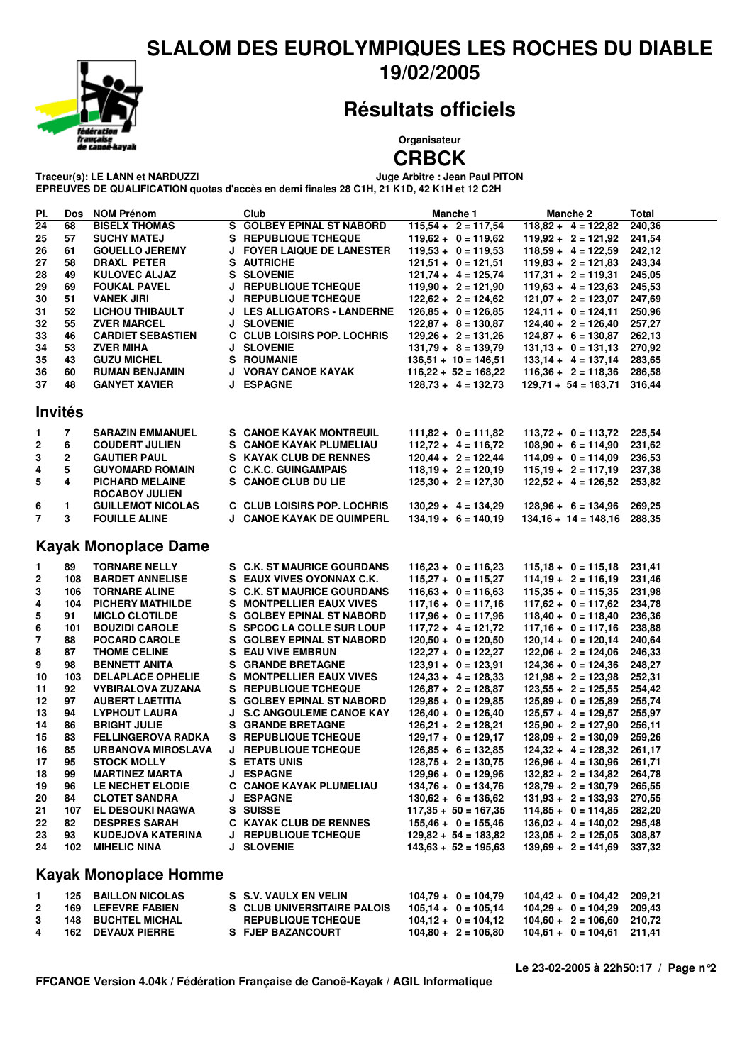#### **SLALOM DES EUROLYMPIQUES LES ROCHES DU DIABLE 19/02/2005**



## **Résultats officiels**

**Organisateur**

# **CRBCK**<br>Juge Arbitre : Jean Paul PITON

 $T$ raceur(s): LE LANN et NARDUZZI

**EPREUVES DE QUALIFICATION quotas d'accès en demi finales 28 C1H, 21 K1D, 42 K1H et 12 C2H**

| PI.                         | Dos | <b>NOM Prénom</b>                               |   | Club                              | Manche 1                                        | Manche 2                                       | <b>Total</b> |  |  |  |  |  |
|-----------------------------|-----|-------------------------------------------------|---|-----------------------------------|-------------------------------------------------|------------------------------------------------|--------------|--|--|--|--|--|
| 24                          | 68  | <b>BISELX THOMAS</b>                            |   | S GOLBEY EPINAL ST NABORD         | $115,54 + 2 = 117,54$                           | $118,82 + 4 = 122,82$                          | 240,36       |  |  |  |  |  |
| 25                          | 57  | <b>SUCHY MATEJ</b>                              |   | S REPUBLIQUE TCHEQUE              | $119,62 + 0 = 119,62$                           | $119,92 + 2 = 121,92$                          | 241,54       |  |  |  |  |  |
| 26                          | 61  | <b>GOUELLO JEREMY</b>                           |   | <b>J FOYER LAIQUE DE LANESTER</b> | $119,53 + 0 = 119,53$                           | $118.59 + 4 = 122.59$                          | 242,12       |  |  |  |  |  |
| 27                          | 58  | DRAXL PETER                                     |   | S AUTRICHE                        | $121,51 + 0 = 121,51$                           | $119,83 + 2 = 121,83$                          | 243,34       |  |  |  |  |  |
| 28                          | 49  | <b>KULOVEC ALJAZ</b>                            |   | <b>S SLOVENIE</b>                 | $121,74 + 4 = 125,74$                           | $117,31 + 2 = 119,31$                          | 245,05       |  |  |  |  |  |
| 29                          | 69  | <b>FOUKAL PAVEL</b>                             |   | J REPUBLIQUE TCHEQUE              | $119.90 + 2 = 121.90$                           | $119.63 + 4 = 123.63$                          | 245,53       |  |  |  |  |  |
| 30                          | 51  | <b>VANEK JIRI</b>                               |   | <b>J REPUBLIQUE TCHEQUE</b>       | $122,62 + 2 = 124,62$                           | $121,07 + 2 = 123,07$                          | 247,69       |  |  |  |  |  |
| 31                          | 52  | <b>LICHOU THIBAULT</b>                          |   | J LES ALLIGATORS - LANDERNE       | $126,85 + 0 = 126,85$                           | $124,11 + 0 = 124,11$                          | 250,96       |  |  |  |  |  |
| 32                          | 55  | <b>ZVER MARCEL</b>                              |   | J SLOVENIE                        | $122,87 + 8 = 130,87$                           | $124,40 + 2 = 126,40$                          | 257,27       |  |  |  |  |  |
| 33                          | 46  | <b>CARDIET SEBASTIEN</b>                        |   | C CLUB LOISIRS POP. LOCHRIS       | $129.26 + 2 = 131.26$                           | $124,87 + 6 = 130,87$                          | 262,13       |  |  |  |  |  |
| 34                          | 53  | <b>ZVER MIHA</b>                                |   | <b>J SLOVENIE</b>                 |                                                 |                                                | 270,92       |  |  |  |  |  |
|                             |     |                                                 |   |                                   | $131,79 + 8 = 139,79$<br>$136.51 + 10 = 146.51$ | $131,13 + 0 = 131,13$<br>$133.14 + 4 = 137.14$ | 283,65       |  |  |  |  |  |
| 35                          | 43  | <b>GUZU MICHEL</b>                              |   | <b>S ROUMANIE</b>                 |                                                 |                                                |              |  |  |  |  |  |
| 36                          | 60  | <b>RUMAN BENJAMIN</b>                           |   | J VORAY CANOE KAYAK               | $116,22 + 52 = 168,22$                          | $116,36 + 2 = 118,36$                          | 286,58       |  |  |  |  |  |
| 37                          | 48  | <b>GANYET XAVIER</b>                            |   | <b>J ESPAGNE</b>                  | $128.73 + 4 = 132.73$                           | $129,71 + 54 = 183,71$                         | 316,44       |  |  |  |  |  |
| <b>Invités</b>              |     |                                                 |   |                                   |                                                 |                                                |              |  |  |  |  |  |
|                             |     |                                                 |   |                                   |                                                 |                                                |              |  |  |  |  |  |
| 1                           | 7   | <b>SARAZIN EMMANUEL</b>                         |   | S CANOE KAYAK MONTREUIL           | $111,82 + 0 = 111,82$                           | $113,72 + 0 = 113,72$                          | 225,54       |  |  |  |  |  |
| 2                           | 6   | <b>COUDERT JULIEN</b>                           |   | S CANOE KAYAK PLUMELIAU           | $112,72 + 4 = 116,72$                           | $108,90 + 6 = 114,90$                          | 231,62       |  |  |  |  |  |
| 3                           | 2   | <b>GAUTIER PAUL</b>                             |   | <b>S KAYAK CLUB DE RENNES</b>     | $120,44 + 2 = 122,44$                           | $114,09 + 0 = 114,09$                          | 236,53       |  |  |  |  |  |
| 4                           | 5   | <b>GUYOMARD ROMAIN</b>                          |   | <b>C C.K.C. GUINGAMPAIS</b>       | $118,19 + 2 = 120,19$                           | $115,19 + 2 = 117,19$                          | 237,38       |  |  |  |  |  |
| 5                           | 4   | <b>PICHARD MELAINE</b><br><b>ROCABOY JULIEN</b> |   | <b>S CANOE CLUB DU LIE</b>        | $125,30 + 2 = 127,30$                           | $122.52 + 4 = 126.52$                          | 253,82       |  |  |  |  |  |
|                             |     |                                                 |   | C CLUB LOISIRS POP. LOCHRIS       |                                                 |                                                |              |  |  |  |  |  |
| 6                           | 1.  | <b>GUILLEMOT NICOLAS</b>                        |   |                                   | $130,29 + 4 = 134,29$                           | $128,96 + 6 = 134,96$                          | 269,25       |  |  |  |  |  |
| $\overline{7}$              | 3   | <b>FOUILLE ALINE</b>                            |   | J CANOE KAYAK DE QUIMPERL         | $134,19 + 6 = 140,19$                           | $134,16 + 14 = 148,16$ 288,35                  |              |  |  |  |  |  |
| <b>Kayak Monoplace Dame</b> |     |                                                 |   |                                   |                                                 |                                                |              |  |  |  |  |  |
| 1                           | 89  | <b>TORNARE NELLY</b>                            |   | S C.K. ST MAURICE GOURDANS        | $116,23 + 0 = 116,23$                           | $115,18 + 0 = 115,18$                          | 231,41       |  |  |  |  |  |
| 2                           | 108 | <b>BARDET ANNELISE</b>                          |   | S EAUX VIVES OYONNAX C.K.         | $115,27 + 0 = 115,27$                           | $114,19 + 2 = 116,19$                          | 231,46       |  |  |  |  |  |
| 3                           | 106 | <b>TORNARE ALINE</b>                            |   | S C.K. ST MAURICE GOURDANS        | $116,63 + 0 = 116,63$                           | $115,35 + 0 = 115,35$                          | 231,98       |  |  |  |  |  |
| 4                           | 104 | <b>PICHERY MATHILDE</b>                         |   | <b>S MONTPELLIER EAUX VIVES</b>   | $117,16 + 0 = 117,16$                           | $117,62 + 0 = 117,62$ 234,78                   |              |  |  |  |  |  |
| 5                           | 91  |                                                 |   | S GOLBEY EPINAL ST NABORD         | $117,96 + 0 = 117,96$                           | $118,40 + 0 = 118,40$                          | 236,36       |  |  |  |  |  |
|                             |     | <b>MICLO CLOTILDE</b>                           |   |                                   |                                                 |                                                |              |  |  |  |  |  |
| 6                           | 101 | <b>BOUZIDI CAROLE</b>                           |   | S SPCOC LA COLLE SUR LOUP         | $117,72 + 4 = 121,72$                           | $117,16 + 0 = 117,16$                          | 238,88       |  |  |  |  |  |
| 7                           | 88  | POCARD CAROLE                                   |   | S GOLBEY EPINAL ST NABORD         | $120,50 + 0 = 120,50$                           | $120,14 + 0 = 120,14$                          | 240,64       |  |  |  |  |  |
| 8                           | 87  | <b>THOME CELINE</b>                             |   | <b>S</b> EAU VIVE EMBRUN          | $122,27 + 0 = 122,27$                           | $122,06 + 2 = 124,06$                          | 246,33       |  |  |  |  |  |
| 9                           | 98  | <b>BENNETT ANITA</b>                            |   | <b>S GRANDE BRETAGNE</b>          | $123,91 + 0 = 123,91$                           | $124,36 + 0 = 124,36$                          | 248,27       |  |  |  |  |  |
| 10                          | 103 | <b>DELAPLACE OPHELIE</b>                        |   | <b>S MONTPELLIER EAUX VIVES</b>   | $124,33 + 4 = 128,33$                           | $121,98 + 2 = 123,98$                          | 252,31       |  |  |  |  |  |
| 11                          | 92  | <b>VYBIRALOVA ZUZANA</b>                        |   | S REPUBLIQUE TCHEQUE              | $126,87 + 2 = 128,87$                           | $123,55 + 2 = 125,55$                          | 254,42       |  |  |  |  |  |
| 12                          | 97  | <b>AUBERT LAETITIA</b>                          |   | S GOLBEY EPINAL ST NABORD         | $129,85 + 0 = 129,85$                           | $125,89 + 0 = 125,89$                          | 255,74       |  |  |  |  |  |
| 13                          | 94  | <b>LYPHOUT LAURA</b>                            | J | <b>S.C ANGOULEME CANOE KAY</b>    | $126,40 + 0 = 126,40$                           | $125,57 + 4 = 129,57$                          | 255,97       |  |  |  |  |  |
| 14                          | 86  | <b>BRIGHT JULIE</b>                             |   | <b>S</b> GRANDE BRETAGNE          | $126,21 + 2 = 128,21$                           | $125,90 + 2 = 127,90$                          | 256,11       |  |  |  |  |  |
| 15                          | 83  | <b>FELLINGEROVA RADKA</b>                       |   | S REPUBLIQUE TCHEQUE              | $129,17 + 0 = 129,17$                           | $128.09 + 2 = 130.09$                          | 259,26       |  |  |  |  |  |
| 16                          | 85  | URBANOVA MIROSLAVA                              |   | J REPUBLIQUE TCHEQUE              | $126,85 + 6 = 132,85$                           | $124,32 + 4 = 128,32$                          | 261,17       |  |  |  |  |  |
| 17                          | 95  | <b>STOCK MOLLY</b>                              |   | <b>S</b> ETATS UNIS               | $128.75 + 2 = 130.75$                           | $126,96 + 4 = 130,96$                          | 261,71       |  |  |  |  |  |
| 18                          | 99  | <b>MARTINEZ MARTA</b>                           |   | <b>J ESPAGNE</b>                  | $129,96 + 0 = 129,96$                           | $132,82 + 2 = 134,82$                          | 264,78       |  |  |  |  |  |
| 19                          | 96  | LE NECHET ELODIE                                |   | C CANOE KAYAK PLUMELIAU           | $134,76 + 0 = 134,76$                           | $128,79 + 2 = 130,79$ 265,55                   |              |  |  |  |  |  |
| 20                          | 84  | <b>CLOTET SANDRA</b>                            |   | <b>J ESPAGNE</b>                  | $130,62 + 6 = 136,62$                           | $131,93 + 2 = 133,93$ 270,55                   |              |  |  |  |  |  |
| 21                          |     | 107 EL DESOUKI NAGWA                            |   | S SUISSE                          | $117,35 + 50 = 167,35$                          | $114,85 + 0 = 114,85$ 282,20                   |              |  |  |  |  |  |
| 22                          | 82  | <b>DESPRES SARAH</b>                            |   | C KAYAK CLUB DE RENNES            | $155,46 + 0 = 155,46$                           | $136,02 + 4 = 140,02$ 295,48                   |              |  |  |  |  |  |
| 23                          | 93  | KUDEJOVA KATERINA                               |   | J REPUBLIQUE TCHEQUE              | $129.82 + 54 = 183.82$                          | $123,05 + 2 = 125,05$ 308,87                   |              |  |  |  |  |  |
| 24                          |     | 102 MIHELIC NINA                                |   | <b>J SLOVENIE</b>                 | $143,63 + 52 = 195,63$                          | $139.69 + 2 = 141.69$ 337,32                   |              |  |  |  |  |  |
|                             |     |                                                 |   |                                   |                                                 |                                                |              |  |  |  |  |  |
|                             |     | <b>Kayak Monoplace Homme</b>                    |   |                                   |                                                 |                                                |              |  |  |  |  |  |
| 1                           |     | <b>125 BAILLON NICOLAS</b>                      |   | S S.V. VAULX EN VELIN             | $104,79 + 0 = 104,79$                           | $104,42 + 0 = 104,42$ 209,21                   |              |  |  |  |  |  |
| 2                           |     | 169 LEFEVRE FABIEN                              |   | S CLUB UNIVERSITAIRE PALOIS       | $105,14 + 0 = 105,14$                           | $104,29 + 0 = 104,29$ 209,43                   |              |  |  |  |  |  |
| 3                           |     | <b>148 BUCHTEL MICHAL</b>                       |   | <b>REPUBLIQUE TCHEQUE</b>         | $104,12 + 0 = 104,12$                           | $104,60 + 2 = 106,60$ 210,72                   |              |  |  |  |  |  |
| 4                           |     | <b>162 DEVAUX PIERRE</b>                        |   | S FJEP BAZANCOURT                 | $104,80 + 2 = 106,80$                           | $104,61 + 0 = 104,61$ 211,41                   |              |  |  |  |  |  |
|                             |     |                                                 |   |                                   |                                                 |                                                |              |  |  |  |  |  |

**Le 23-02-2005 à 22h50:17 / Page n°2**